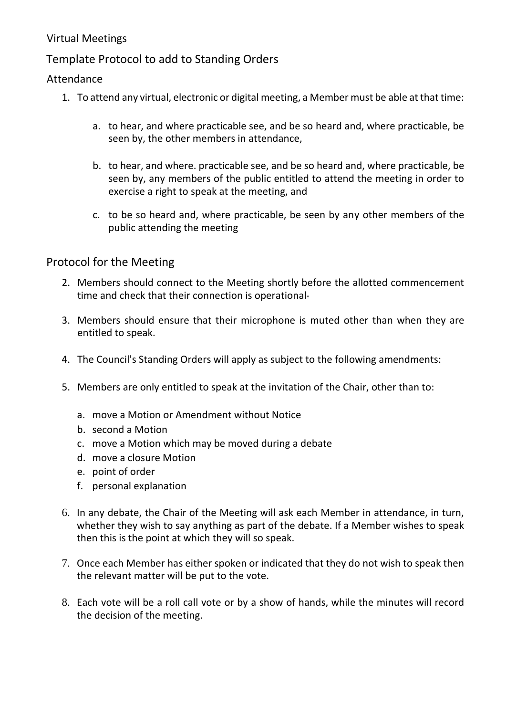# Virtual Meetings

# Template Protocol to add to Standing Orders

## Attendance

- 1. To attend any virtual, electronic or digital meeting, a Member must be able at that time:
	- a. to hear, and where practicable see, and be so heard and, where practicable, be seen by, the other members in attendance,
	- b. to hear, and where. practicable see, and be so heard and, where practicable, be seen by, any members of the public entitled to attend the meeting in order to exercise a right to speak at the meeting, and
	- c. to be so heard and, where practicable, be seen by any other members of the public attending the meeting

## Protocol for the Meeting

- 2. Members should connect to the Meeting shortly before the allotted commencement time and check that their connection is operational
- 3. Members should ensure that their microphone is muted other than when they are entitled to speak.
- 4. The Council's Standing Orders will apply as subject to the following amendments:
- 5. Members are only entitled to speak at the invitation of the Chair, other than to:
	- a. move a Motion or Amendment without Notice
	- b. second a Motion
	- c. move a Motion which may be moved during a debate
	- d. move a closure Motion
	- e. point of order
	- f. personal explanation
- 6. In any debate, the Chair of the Meeting will ask each Member in attendance, in turn, whether they wish to say anything as part of the debate. If a Member wishes to speak then this is the point at which they will so speak.
- 7. Once each Member has either spoken or indicated that they do not wish to speak then the relevant matter will be put to the vote.
- 8. Each vote will be a roll call vote or by a show of hands, while the minutes will record the decision of the meeting.